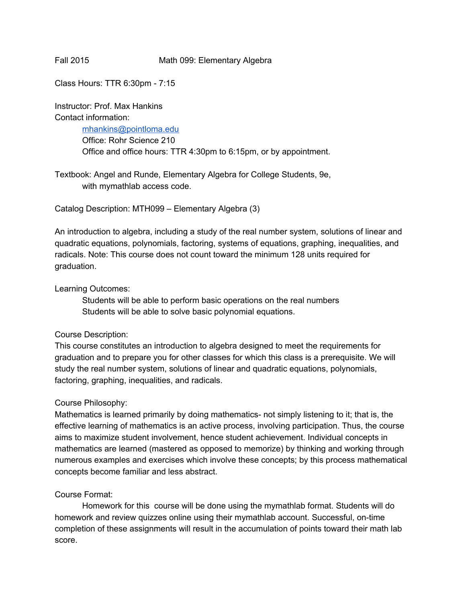## Fall 2015 Math 099: Elementary Algebra

Class Hours: TTR 6:30pm - 7:15

Instructor: Prof. Max Hankins Contact information: [mhankins@pointloma.edu](mailto:mhankins@pointloma.edu) Office: Rohr Science 210

Office and office hours: TTR 4:30pm to 6:15pm, or by appointment.

Textbook: Angel and Runde, Elementary Algebra for College Students, 9e, with mymathlab access code.

Catalog Description: MTH099 – Elementary Algebra (3)

An introduction to algebra, including a study of the real number system, solutions of linear and quadratic equations, polynomials, factoring, systems of equations, graphing, inequalities, and radicals. Note: This course does not count toward the minimum 128 units required for graduation.

## Learning Outcomes:

Students will be able to perform basic operations on the real numbers Students will be able to solve basic polynomial equations.

# Course Description:

This course constitutes an introduction to algebra designed to meet the requirements for graduation and to prepare you for other classes for which this class is a prerequisite. We will study the real number system, solutions of linear and quadratic equations, polynomials, factoring, graphing, inequalities, and radicals.

## Course Philosophy:

Mathematics is learned primarily by doing mathematics- not simply listening to it; that is, the effective learning of mathematics is an active process, involving participation. Thus, the course aims to maximize student involvement, hence student achievement. Individual concepts in mathematics are learned (mastered as opposed to memorize) by thinking and working through numerous examples and exercises which involve these concepts; by this process mathematical concepts become familiar and less abstract.

## Course Format:

Homework for this course will be done using the mymathlab format. Students will do homework and review quizzes online using their mymathlab account. Successful, on-time completion of these assignments will result in the accumulation of points toward their math lab score.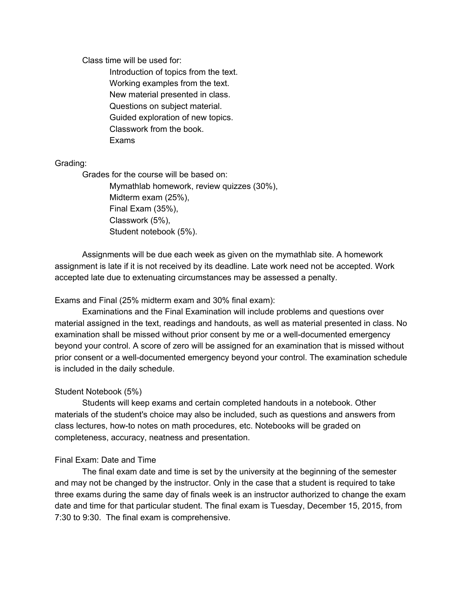Class time will be used for:

Introduction of topics from the text. Working examples from the text. New material presented in class. Questions on subject material. Guided exploration of new topics. Classwork from the book. Exams

## Grading:

Grades for the course will be based on: Mymathlab homework, review quizzes (30%), Midterm exam (25%), Final Exam (35%), Classwork (5%), Student notebook (5%).

Assignments will be due each week as given on the mymathlab site. A homework assignment is late if it is not received by its deadline. Late work need not be accepted. Work accepted late due to extenuating circumstances may be assessed a penalty.

## Exams and Final (25% midterm exam and 30% final exam):

Examinations and the Final Examination will include problems and questions over material assigned in the text, readings and handouts, as well as material presented in class. No examination shall be missed without prior consent by me or a well-documented emergency beyond your control. A score of zero will be assigned for an examination that is missed without prior consent or a well-documented emergency beyond your control. The examination schedule is included in the daily schedule.

## Student Notebook (5%)

Students will keep exams and certain completed handouts in a notebook. Other materials of the student's choice may also be included, such as questions and answers from class lectures, howto notes on math procedures, etc. Notebooks will be graded on completeness, accuracy, neatness and presentation.

## Final Exam: Date and Time

The final exam date and time is set by the university at the beginning of the semester and may not be changed by the instructor. Only in the case that a student is required to take three exams during the same day of finals week is an instructor authorized to change the exam date and time for that particular student. The final exam is Tuesday, December 15, 2015, from 7:30 to 9:30. The final exam is comprehensive.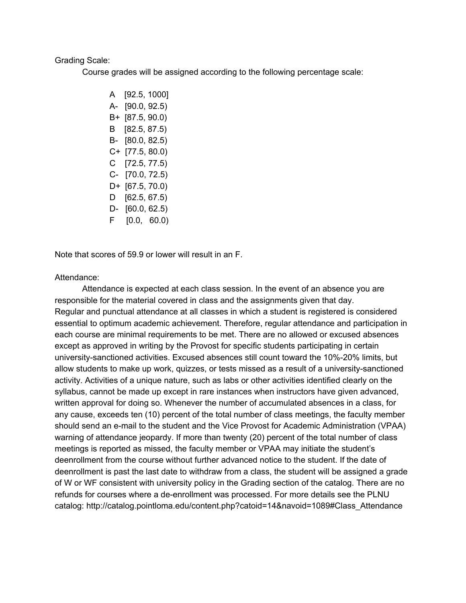#### Grading Scale:

Course grades will be assigned according to the following percentage scale:

A [92.5, 1000] A- [90.0, 92.5) B+ [87.5, 90.0) B [82.5, 87.5) B- [80.0, 82.5) C+ [77.5, 80.0) C [72.5, 77.5)  $C - [70.0, 72.5]$ D+ [67.5, 70.0) D [62.5, 67.5)  $D - [60.0, 62.5]$ F [0.0, 60.0)

Note that scores of 59.9 or lower will result in an F.

#### Attendance:

Attendance is expected at each class session. In the event of an absence you are responsible for the material covered in class and the assignments given that day. Regular and punctual attendance at all classes in which a student is registered is considered essential to optimum academic achievement. Therefore, regular attendance and participation in each course are minimal requirements to be met. There are no allowed or excused absences except as approved in writing by the Provost for specific students participating in certain university-sanctioned activities. Excused absences still count toward the 10%-20% limits, but allow students to make up work, quizzes, or tests missed as a result of a university-sanctioned activity. Activities of a unique nature, such as labs or other activities identified clearly on the syllabus, cannot be made up except in rare instances when instructors have given advanced, written approval for doing so. Whenever the number of accumulated absences in a class, for any cause, exceeds ten (10) percent of the total number of class meetings, the faculty member should send an e-mail to the student and the Vice Provost for Academic Administration (VPAA) warning of attendance jeopardy. If more than twenty (20) percent of the total number of class meetings is reported as missed, the faculty member or VPAA may initiate the student's deenrollment from the course without further advanced notice to the student. If the date of deenrollment is past the last date to withdraw from a class, the student will be assigned a grade of W or WF consistent with university policy in the Grading section of the catalog. There are no refunds for courses where a de-enrollment was processed. For more details see the PLNU catalog: http://catalog.pointloma.edu/content.php?catoid=14&navoid=1089#Class\_Attendance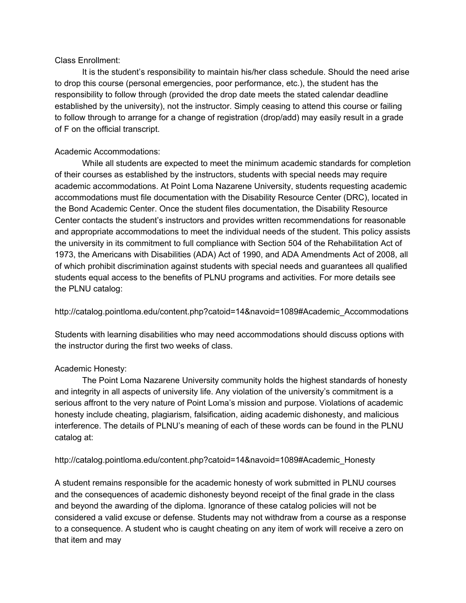# Class Enrollment:

It is the student's responsibility to maintain his/her class schedule. Should the need arise to drop this course (personal emergencies, poor performance, etc.), the student has the responsibility to follow through (provided the drop date meets the stated calendar deadline established by the university), not the instructor. Simply ceasing to attend this course or failing to follow through to arrange for a change of registration (drop/add) may easily result in a grade of F on the official transcript.

# Academic Accommodations:

While all students are expected to meet the minimum academic standards for completion of their courses as established by the instructors, students with special needs may require academic accommodations. At Point Loma Nazarene University, students requesting academic accommodations must file documentation with the Disability Resource Center (DRC), located in the Bond Academic Center. Once the student files documentation, the Disability Resource Center contacts the student's instructors and provides written recommendations for reasonable and appropriate accommodations to meet the individual needs of the student. This policy assists the university in its commitment to full compliance with Section 504 of the Rehabilitation Act of 1973, the Americans with Disabilities (ADA) Act of 1990, and ADA Amendments Act of 2008, all of which prohibit discrimination against students with special needs and guarantees all qualified students equal access to the benefits of PLNU programs and activities. For more details see the PLNU catalog:

http://catalog.pointloma.edu/content.php?catoid=14&navoid=1089#Academic\_Accommodations

Students with learning disabilities who may need accommodations should discuss options with the instructor during the first two weeks of class.

# Academic Honesty:

The Point Loma Nazarene University community holds the highest standards of honesty and integrity in all aspects of university life. Any violation of the university's commitment is a serious affront to the very nature of Point Loma's mission and purpose. Violations of academic honesty include cheating, plagiarism, falsification, aiding academic dishonesty, and malicious interference. The details of PLNU's meaning of each of these words can be found in the PLNU catalog at:

http://catalog.pointloma.edu/content.php?catoid=14&navoid=1089#Academic\_Honesty

A student remains responsible for the academic honesty of work submitted in PLNU courses and the consequences of academic dishonesty beyond receipt of the final grade in the class and beyond the awarding of the diploma. Ignorance of these catalog policies will not be considered a valid excuse or defense. Students may not withdraw from a course as a response to a consequence. A student who is caught cheating on any item of work will receive a zero on that item and may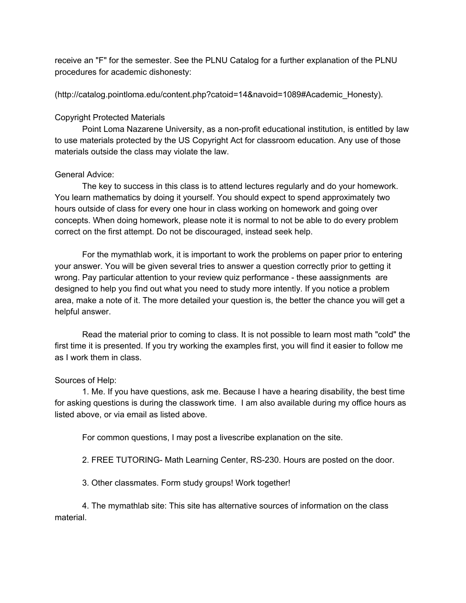receive an "F" for the semester. See the PLNU Catalog for a further explanation of the PLNU procedures for academic dishonesty:

(http://catalog.pointloma.edu/content.php?catoid=14&navoid=1089#Academic\_Honesty).

## Copyright Protected Materials

Point Loma Nazarene University, as a non-profit educational institution, is entitled by law to use materials protected by the US Copyright Act for classroom education. Any use of those materials outside the class may violate the law.

## General Advice:

The key to success in this class is to attend lectures regularly and do your homework. You learn mathematics by doing it yourself. You should expect to spend approximately two hours outside of class for every one hour in class working on homework and going over concepts. When doing homework, please note it is normal to not be able to do every problem correct on the first attempt. Do not be discouraged, instead seek help.

For the mymathlab work, it is important to work the problems on paper prior to entering your answer. You will be given several tries to answer a question correctly prior to getting it wrong. Pay particular attention to your review quiz performance these aassignments are designed to help you find out what you need to study more intently. If you notice a problem area, make a note of it. The more detailed your question is, the better the chance you will get a helpful answer.

Read the material prior to coming to class. It is not possible to learn most math "cold" the first time it is presented. If you try working the examples first, you will find it easier to follow me as I work them in class.

# Sources of Help:

1. Me. If you have questions, ask me. Because I have a hearing disability, the best time for asking questions is during the classwork time. I am also available during my office hours as listed above, or via email as listed above.

For common questions, I may post a livescribe explanation on the site.

2. FREE TUTORING- Math Learning Center, RS-230. Hours are posted on the door.

3. Other classmates. Form study groups! Work together!

4. The mymathlab site: This site has alternative sources of information on the class material.